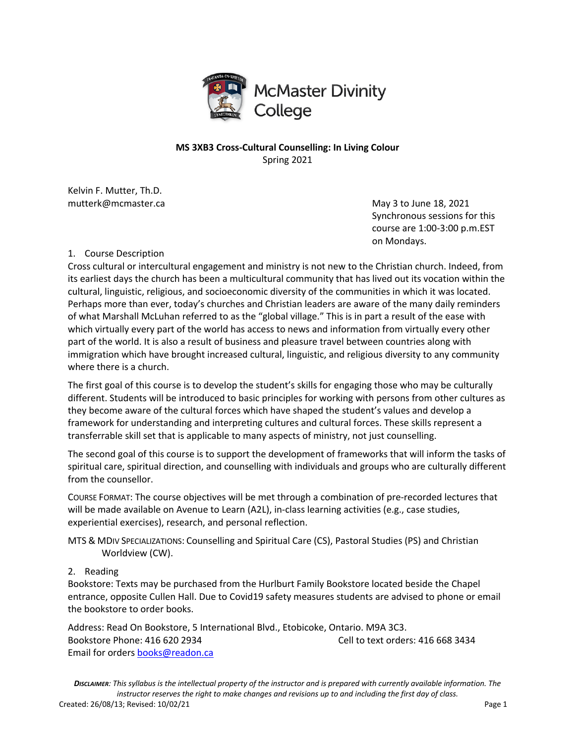

# **MS 3XB3 Cross-Cultural Counselling: In Living Colour** Spring 2021

Kelvin F. Mutter, Th.D. mutterk@mcmaster.ca and the matter of the May 3 to June 18, 2021

Synchronous sessions for this course are 1:00-3:00 p.m.EST on Mondays.

# 1. Course Description

Cross cultural or intercultural engagement and ministry is not new to the Christian church. Indeed, from its earliest days the church has been a multicultural community that has lived out its vocation within the cultural, linguistic, religious, and socioeconomic diversity of the communities in which it was located. Perhaps more than ever, today's churches and Christian leaders are aware of the many daily reminders of what Marshall McLuhan referred to as the "global village." This is in part a result of the ease with which virtually every part of the world has access to news and information from virtually every other part of the world. It is also a result of business and pleasure travel between countries along with immigration which have brought increased cultural, linguistic, and religious diversity to any community where there is a church.

The first goal of this course is to develop the student's skills for engaging those who may be culturally different. Students will be introduced to basic principles for working with persons from other cultures as they become aware of the cultural forces which have shaped the student's values and develop a framework for understanding and interpreting cultures and cultural forces. These skills represent a transferrable skill set that is applicable to many aspects of ministry, not just counselling.

The second goal of this course is to support the development of frameworks that will inform the tasks of spiritual care, spiritual direction, and counselling with individuals and groups who are culturally different from the counsellor.

COURSE FORMAT: The course objectives will be met through a combination of pre-recorded lectures that will be made available on Avenue to Learn (A2L), in-class learning activities (e.g., case studies, experiential exercises), research, and personal reflection.

MTS & MDIV SPECIALIZATIONS: Counselling and Spiritual Care (CS), Pastoral Studies (PS) and Christian Worldview (CW).

### 2. Reading

Bookstore: Texts may be purchased from the Hurlburt Family Bookstore located beside the Chapel entrance, opposite Cullen Hall. Due to Covid19 safety measures students are advised to phone or email the bookstore to order books.

Address: Read On Bookstore, 5 International Blvd., Etobicoke, Ontario. M9A 3C3. Bookstore Phone: 416 620 2934 Cell to text orders: 416 668 3434 Email for orders books@readon.ca

*DISCLAIMER: This syllabus is the intellectual property of the instructor and is prepared with currently available information. The instructor reserves the right to make changes and revisions up to and including the first day of class.* Created: 26/08/13; Revised: 10/02/21 Page 1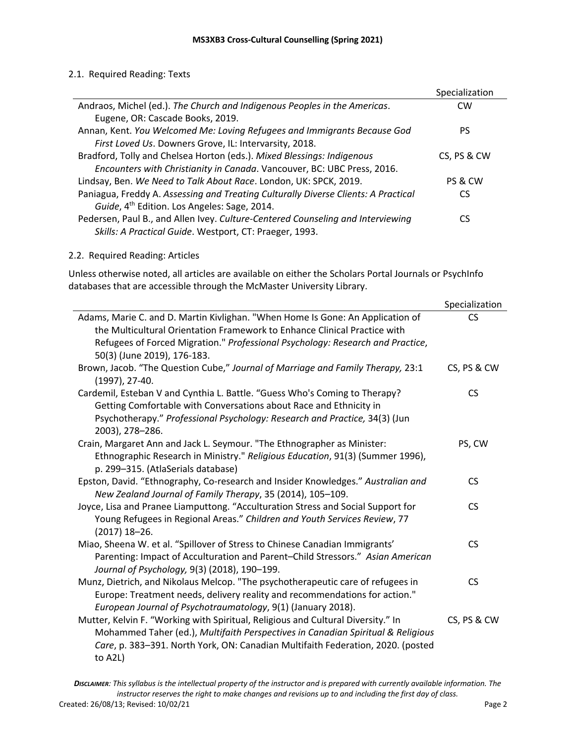## 2.1. Required Reading: Texts

|                                                                                    | Specialization |
|------------------------------------------------------------------------------------|----------------|
| Andraos, Michel (ed.). The Church and Indigenous Peoples in the Americas.          | <b>CW</b>      |
| Eugene, OR: Cascade Books, 2019.                                                   |                |
| Annan, Kent. You Welcomed Me: Loving Refugees and Immigrants Because God           | PS.            |
| First Loved Us. Downers Grove, IL: Intervarsity, 2018.                             |                |
| Bradford, Tolly and Chelsea Horton (eds.). Mixed Blessings: Indigenous             | CS, PS & CW    |
| Encounters with Christianity in Canada. Vancouver, BC: UBC Press, 2016.            |                |
| Lindsay, Ben. We Need to Talk About Race. London, UK: SPCK, 2019.                  | PS & CW        |
| Paniagua, Freddy A. Assessing and Treating Culturally Diverse Clients: A Practical | CS             |
| Guide, 4 <sup>th</sup> Edition. Los Angeles: Sage, 2014.                           |                |
| Pedersen, Paul B., and Allen Ivey. Culture-Centered Counseling and Interviewing    | CS             |
| Skills: A Practical Guide. Westport, CT: Praeger, 1993.                            |                |

## 2.2. Required Reading: Articles

Unless otherwise noted, all articles are available on either the Scholars Portal Journals or PsychInfo databases that are accessible through the McMaster University Library.

|                                                                                                                                                                                                                                                                   | Specialization |
|-------------------------------------------------------------------------------------------------------------------------------------------------------------------------------------------------------------------------------------------------------------------|----------------|
| Adams, Marie C. and D. Martin Kivlighan. "When Home Is Gone: An Application of                                                                                                                                                                                    | CS.            |
| the Multicultural Orientation Framework to Enhance Clinical Practice with                                                                                                                                                                                         |                |
| Refugees of Forced Migration." Professional Psychology: Research and Practice,<br>50(3) (June 2019), 176-183.                                                                                                                                                     |                |
| Brown, Jacob. "The Question Cube," Journal of Marriage and Family Therapy, 23:1<br>(1997), 27-40.                                                                                                                                                                 | CS, PS & CW    |
| Cardemil, Esteban V and Cynthia L. Battle. "Guess Who's Coming to Therapy?<br>Getting Comfortable with Conversations about Race and Ethnicity in<br>Psychotherapy." Professional Psychology: Research and Practice, 34(3) (Jun<br>2003), 278-286.                 | <b>CS</b>      |
| Crain, Margaret Ann and Jack L. Seymour. "The Ethnographer as Minister:<br>Ethnographic Research in Ministry." Religious Education, 91(3) (Summer 1996),<br>p. 299-315. (AtlaSerials database)                                                                    | PS, CW         |
| Epston, David. "Ethnography, Co-research and Insider Knowledges." Australian and<br>New Zealand Journal of Family Therapy, 35 (2014), 105-109.                                                                                                                    | <b>CS</b>      |
| Joyce, Lisa and Pranee Liamputtong. "Acculturation Stress and Social Support for<br>Young Refugees in Regional Areas." Children and Youth Services Review, 77<br>$(2017)$ 18-26.                                                                                  | <b>CS</b>      |
| Miao, Sheena W. et al. "Spillover of Stress to Chinese Canadian Immigrants'<br>Parenting: Impact of Acculturation and Parent-Child Stressors." Asian American<br>Journal of Psychology, 9(3) (2018), 190-199.                                                     | <b>CS</b>      |
| Munz, Dietrich, and Nikolaus Melcop. "The psychotherapeutic care of refugees in<br>Europe: Treatment needs, delivery reality and recommendations for action."<br>European Journal of Psychotraumatology, 9(1) (January 2018).                                     | <b>CS</b>      |
| Mutter, Kelvin F. "Working with Spiritual, Religious and Cultural Diversity." In<br>Mohammed Taher (ed.), Multifaith Perspectives in Canadian Spiritual & Religious<br>Care, p. 383-391. North York, ON: Canadian Multifaith Federation, 2020. (posted<br>to A2L) | CS, PS & CW    |

*DISCLAIMER: This syllabus is the intellectual property of the instructor and is prepared with currently available information. The instructor reserves the right to make changes and revisions up to and including the first day of class.* Created: 26/08/13; Revised: 10/02/21 Page 2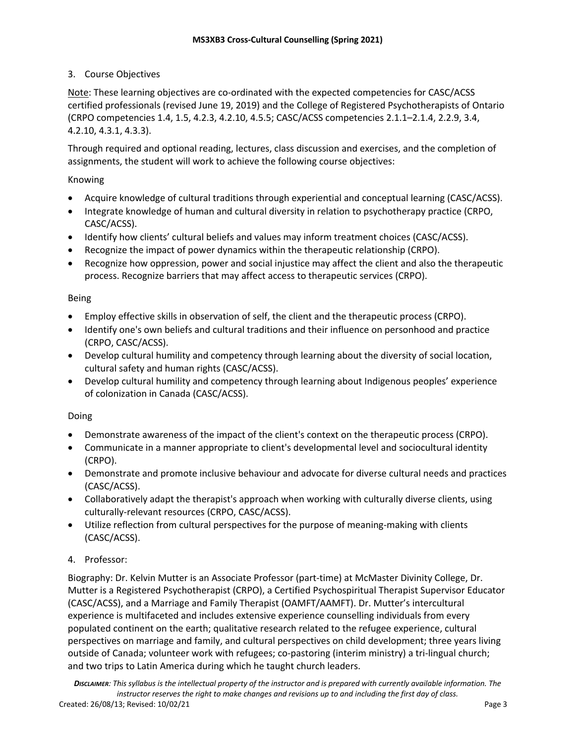# 3. Course Objectives

Note: These learning objectives are co-ordinated with the expected competencies for CASC/ACSS certified professionals (revised June 19, 2019) and the College of Registered Psychotherapists of Ontario (CRPO competencies 1.4, 1.5, 4.2.3, 4.2.10, 4.5.5; CASC/ACSS competencies 2.1.1–2.1.4, 2.2.9, 3.4, 4.2.10, 4.3.1, 4.3.3).

Through required and optional reading, lectures, class discussion and exercises, and the completion of assignments, the student will work to achieve the following course objectives:

# Knowing

- Acquire knowledge of cultural traditions through experiential and conceptual learning (CASC/ACSS).
- Integrate knowledge of human and cultural diversity in relation to psychotherapy practice (CRPO, CASC/ACSS).
- Identify how clients' cultural beliefs and values may inform treatment choices (CASC/ACSS).
- Recognize the impact of power dynamics within the therapeutic relationship (CRPO).
- Recognize how oppression, power and social injustice may affect the client and also the therapeutic process. Recognize barriers that may affect access to therapeutic services (CRPO).

## Being

- Employ effective skills in observation of self, the client and the therapeutic process (CRPO).
- Identify one's own beliefs and cultural traditions and their influence on personhood and practice (CRPO, CASC/ACSS).
- Develop cultural humility and competency through learning about the diversity of social location, cultural safety and human rights (CASC/ACSS).
- Develop cultural humility and competency through learning about Indigenous peoples' experience of colonization in Canada (CASC/ACSS).

### Doing

- Demonstrate awareness of the impact of the client's context on the therapeutic process (CRPO).
- Communicate in a manner appropriate to client's developmental level and sociocultural identity (CRPO).
- Demonstrate and promote inclusive behaviour and advocate for diverse cultural needs and practices (CASC/ACSS).
- Collaboratively adapt the therapist's approach when working with culturally diverse clients, using culturally-relevant resources (CRPO, CASC/ACSS).
- Utilize reflection from cultural perspectives for the purpose of meaning-making with clients (CASC/ACSS).

# 4. Professor:

Biography: Dr. Kelvin Mutter is an Associate Professor (part-time) at McMaster Divinity College, Dr. Mutter is a Registered Psychotherapist (CRPO), a Certified Psychospiritual Therapist Supervisor Educator (CASC/ACSS), and a Marriage and Family Therapist (OAMFT/AAMFT). Dr. Mutter's intercultural experience is multifaceted and includes extensive experience counselling individuals from every populated continent on the earth; qualitative research related to the refugee experience, cultural perspectives on marriage and family, and cultural perspectives on child development; three years living outside of Canada; volunteer work with refugees; co-pastoring (interim ministry) a tri-lingual church; and two trips to Latin America during which he taught church leaders.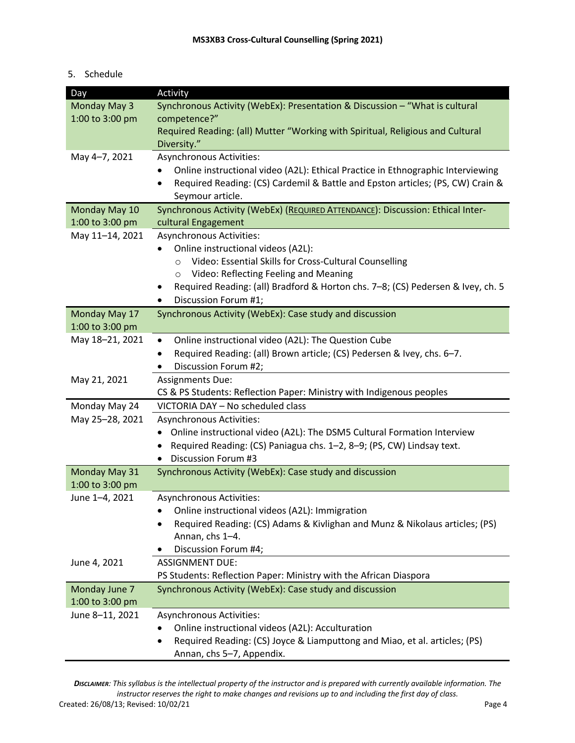## 5. Schedule

| Day             | Activity                                                                                |
|-----------------|-----------------------------------------------------------------------------------------|
| Monday May 3    | Synchronous Activity (WebEx): Presentation & Discussion - "What is cultural             |
| 1:00 to 3:00 pm | competence?"                                                                            |
|                 | Required Reading: (all) Mutter "Working with Spiritual, Religious and Cultural          |
|                 | Diversity."                                                                             |
| May 4-7, 2021   | Asynchronous Activities:                                                                |
|                 | Online instructional video (A2L): Ethical Practice in Ethnographic Interviewing         |
|                 | Required Reading: (CS) Cardemil & Battle and Epston articles; (PS, CW) Crain &          |
|                 | Seymour article.                                                                        |
| Monday May 10   | Synchronous Activity (WebEx) (REQUIRED ATTENDANCE): Discussion: Ethical Inter-          |
| 1:00 to 3:00 pm | cultural Engagement                                                                     |
| May 11-14, 2021 | Asynchronous Activities:                                                                |
|                 | Online instructional videos (A2L):                                                      |
|                 | Video: Essential Skills for Cross-Cultural Counselling<br>$\circ$                       |
|                 | Video: Reflecting Feeling and Meaning<br>$\circ$                                        |
|                 | Required Reading: (all) Bradford & Horton chs. 7-8; (CS) Pedersen & Ivey, ch. 5         |
|                 | Discussion Forum #1;<br>٠                                                               |
| Monday May 17   | Synchronous Activity (WebEx): Case study and discussion                                 |
| 1:00 to 3:00 pm |                                                                                         |
| May 18-21, 2021 | Online instructional video (A2L): The Question Cube<br>$\bullet$                        |
|                 | Required Reading: (all) Brown article; (CS) Pedersen & Ivey, chs. 6-7.                  |
|                 | Discussion Forum #2;                                                                    |
| May 21, 2021    | <b>Assignments Due:</b>                                                                 |
|                 | CS & PS Students: Reflection Paper: Ministry with Indigenous peoples                    |
| Monday May 24   | VICTORIA DAY - No scheduled class                                                       |
| May 25-28, 2021 | Asynchronous Activities:                                                                |
|                 | Online instructional video (A2L): The DSM5 Cultural Formation Interview<br>$\bullet$    |
|                 | Required Reading: (CS) Paniagua chs. 1-2, 8-9; (PS, CW) Lindsay text.                   |
|                 | <b>Discussion Forum #3</b><br>٠                                                         |
| Monday May 31   | Synchronous Activity (WebEx): Case study and discussion                                 |
| 1:00 to 3:00 pm |                                                                                         |
| June 1-4, 2021  | Asynchronous Activities:                                                                |
|                 | Online instructional videos (A2L): Immigration                                          |
|                 | Required Reading: (CS) Adams & Kivlighan and Munz & Nikolaus articles; (PS)             |
|                 | Annan, chs 1-4.                                                                         |
|                 | Discussion Forum #4;                                                                    |
| June 4, 2021    | <b>ASSIGNMENT DUE:</b>                                                                  |
|                 | PS Students: Reflection Paper: Ministry with the African Diaspora                       |
| Monday June 7   | Synchronous Activity (WebEx): Case study and discussion                                 |
| 1:00 to 3:00 pm |                                                                                         |
| June 8-11, 2021 | <b>Asynchronous Activities:</b>                                                         |
|                 | Online instructional videos (A2L): Acculturation                                        |
|                 | Required Reading: (CS) Joyce & Liamputtong and Miao, et al. articles; (PS)<br>$\bullet$ |
|                 | Annan, chs 5-7, Appendix.                                                               |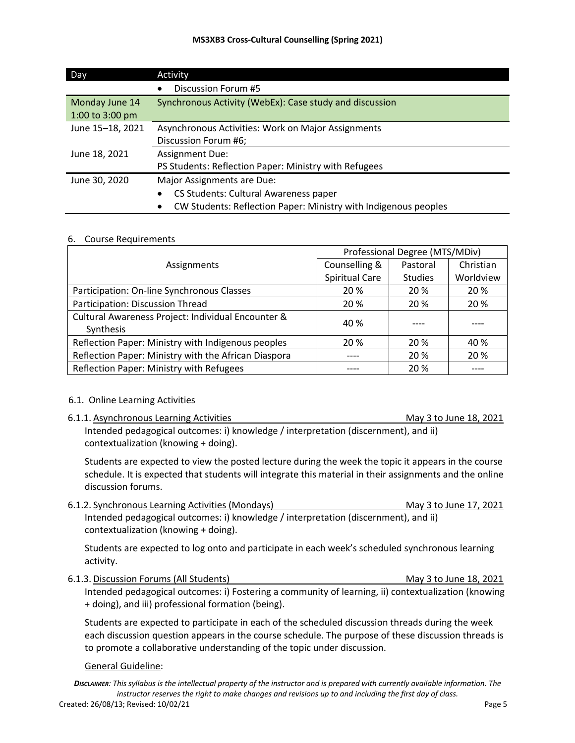| <b>Day</b>       | Activity                                                                     |
|------------------|------------------------------------------------------------------------------|
|                  | Discussion Forum #5                                                          |
| Monday June 14   | Synchronous Activity (WebEx): Case study and discussion                      |
| 1:00 to 3:00 pm  |                                                                              |
| June 15-18, 2021 | Asynchronous Activities: Work on Major Assignments                           |
|                  | Discussion Forum #6;                                                         |
| June 18, 2021    | <b>Assignment Due:</b>                                                       |
|                  | PS Students: Reflection Paper: Ministry with Refugees                        |
| June 30, 2020    | Major Assignments are Due:                                                   |
|                  | CS Students: Cultural Awareness paper                                        |
|                  | CW Students: Reflection Paper: Ministry with Indigenous peoples<br>$\bullet$ |

#### 6. Course Requirements

|                                                                 | Professional Degree (MTS/MDiv) |                |           |
|-----------------------------------------------------------------|--------------------------------|----------------|-----------|
| Assignments                                                     | Counselling &                  | Pastoral       | Christian |
|                                                                 | Spiritual Care                 | <b>Studies</b> | Worldview |
| Participation: On-line Synchronous Classes                      | 20 %                           | 20 %           | 20 %      |
| Participation: Discussion Thread                                | 20 %                           | 20 %           | 20 %      |
| Cultural Awareness Project: Individual Encounter &<br>Synthesis | 40 %                           |                |           |
| Reflection Paper: Ministry with Indigenous peoples              | 20 %                           | 20 %           | 40 %      |
| Reflection Paper: Ministry with the African Diaspora            |                                | 20 %           | 20 %      |
| Reflection Paper: Ministry with Refugees                        |                                | 20 %           |           |

### 6.1. Online Learning Activities

6.1.1. Asynchronous Learning Activities May 3 to June 18, 2021

Intended pedagogical outcomes: i) knowledge / interpretation (discernment), and ii) contextualization (knowing + doing).

Students are expected to view the posted lecture during the week the topic it appears in the course schedule. It is expected that students will integrate this material in their assignments and the online discussion forums.

6.1.2. Synchronous Learning Activities (Mondays) May 3 to June 17, 2021 Intended pedagogical outcomes: i) knowledge / interpretation (discernment), and ii) contextualization (knowing + doing).

Students are expected to log onto and participate in each week's scheduled synchronous learning activity.

6.1.3. Discussion Forums (All Students) May 3 to June 18, 2021 Intended pedagogical outcomes: i) Fostering a community of learning, ii) contextualization (knowing + doing), and iii) professional formation (being).

Students are expected to participate in each of the scheduled discussion threads during the week each discussion question appears in the course schedule. The purpose of these discussion threads is to promote a collaborative understanding of the topic under discussion.

#### General Guideline: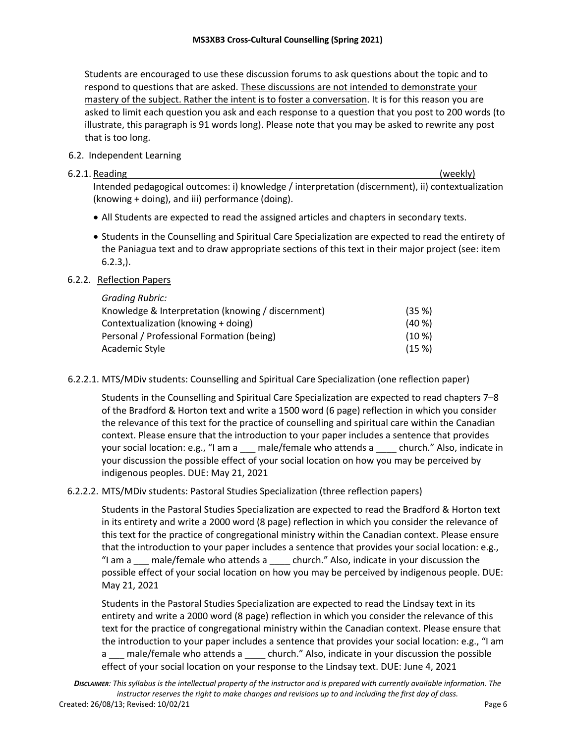Students are encouraged to use these discussion forums to ask questions about the topic and to respond to questions that are asked. These discussions are not intended to demonstrate your mastery of the subject. Rather the intent is to foster a conversation. It is for this reason you are asked to limit each question you ask and each response to a question that you post to 200 words (to illustrate, this paragraph is 91 words long). Please note that you may be asked to rewrite any post that is too long.

# 6.2. Independent Learning

## 6.2.1. Reading (weekly)

Intended pedagogical outcomes: i) knowledge / interpretation (discernment), ii) contextualization (knowing + doing), and iii) performance (doing).

- All Students are expected to read the assigned articles and chapters in secondary texts.
- Students in the Counselling and Spiritual Care Specialization are expected to read the entirety of the Paniagua text and to draw appropriate sections of this text in their major project (see: item  $6.2.3$ .).

# 6.2.2. Reflection Papers

| <b>Grading Rubric:</b>                             |           |
|----------------------------------------------------|-----------|
| Knowledge & Interpretation (knowing / discernment) | (35%)     |
| Contextualization (knowing + doing)                | $(40\%)$  |
| Personal / Professional Formation (being)          | $(10 \%)$ |
| Academic Style                                     | (15%)     |

6.2.2.1. MTS/MDiv students: Counselling and Spiritual Care Specialization (one reflection paper)

Students in the Counselling and Spiritual Care Specialization are expected to read chapters 7–8 of the Bradford & Horton text and write a 1500 word (6 page) reflection in which you consider the relevance of this text for the practice of counselling and spiritual care within the Canadian context. Please ensure that the introduction to your paper includes a sentence that provides your social location: e.g., "I am a \_\_\_ male/female who attends a \_\_\_\_ church." Also, indicate in your discussion the possible effect of your social location on how you may be perceived by indigenous peoples. DUE: May 21, 2021

# 6.2.2.2. MTS/MDiv students: Pastoral Studies Specialization (three reflection papers)

Students in the Pastoral Studies Specialization are expected to read the Bradford & Horton text in its entirety and write a 2000 word (8 page) reflection in which you consider the relevance of this text for the practice of congregational ministry within the Canadian context. Please ensure that the introduction to your paper includes a sentence that provides your social location: e.g., "I am a \_\_\_ male/female who attends a \_\_\_\_ church." Also, indicate in your discussion the possible effect of your social location on how you may be perceived by indigenous people. DUE: May 21, 2021

Students in the Pastoral Studies Specialization are expected to read the Lindsay text in its entirety and write a 2000 word (8 page) reflection in which you consider the relevance of this text for the practice of congregational ministry within the Canadian context. Please ensure that the introduction to your paper includes a sentence that provides your social location: e.g., "I am a \_\_\_ male/female who attends a \_\_\_\_ church." Also, indicate in your discussion the possible effect of your social location on your response to the Lindsay text. DUE: June 4, 2021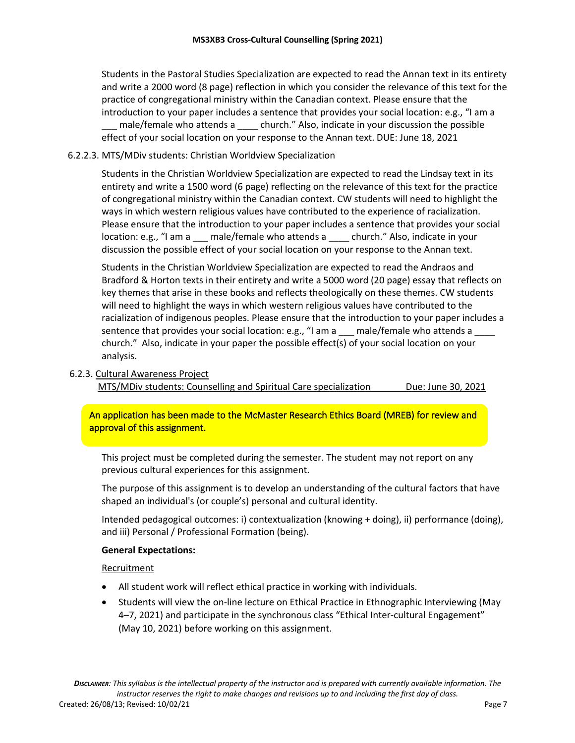Students in the Pastoral Studies Specialization are expected to read the Annan text in its entirety and write a 2000 word (8 page) reflection in which you consider the relevance of this text for the practice of congregational ministry within the Canadian context. Please ensure that the introduction to your paper includes a sentence that provides your social location: e.g., "I am a male/female who attends a \_\_\_\_ church." Also, indicate in your discussion the possible effect of your social location on your response to the Annan text. DUE: June 18, 2021

## 6.2.2.3. MTS/MDiv students: Christian Worldview Specialization

Students in the Christian Worldview Specialization are expected to read the Lindsay text in its entirety and write a 1500 word (6 page) reflecting on the relevance of this text for the practice of congregational ministry within the Canadian context. CW students will need to highlight the ways in which western religious values have contributed to the experience of racialization. Please ensure that the introduction to your paper includes a sentence that provides your social location: e.g., "I am a \_\_\_ male/female who attends a \_\_\_\_ church." Also, indicate in your discussion the possible effect of your social location on your response to the Annan text.

Students in the Christian Worldview Specialization are expected to read the Andraos and Bradford & Horton texts in their entirety and write a 5000 word (20 page) essay that reflects on key themes that arise in these books and reflects theologically on these themes. CW students will need to highlight the ways in which western religious values have contributed to the racialization of indigenous peoples. Please ensure that the introduction to your paper includes a sentence that provides your social location: e.g., "I am a \_\_\_ male/female who attends a church." Also, indicate in your paper the possible effect(s) of your social location on your analysis.

### 6.2.3. Cultural Awareness Project

MTS/MDiv students: Counselling and Spiritual Care specialization Due: June 30, 2021

# An application has been made to the McMaster Research Ethics Board (MREB) for review and approval of this assignment.

This project must be completed during the semester. The student may not report on any previous cultural experiences for this assignment.

The purpose of this assignment is to develop an understanding of the cultural factors that have shaped an individual's (or couple's) personal and cultural identity.

Intended pedagogical outcomes: i) contextualization (knowing + doing), ii) performance (doing), and iii) Personal / Professional Formation (being).

### **General Expectations:**

Recruitment

- All student work will reflect ethical practice in working with individuals.
- Students will view the on-line lecture on Ethical Practice in Ethnographic Interviewing (May 4–7, 2021) and participate in the synchronous class "Ethical Inter-cultural Engagement" (May 10, 2021) before working on this assignment.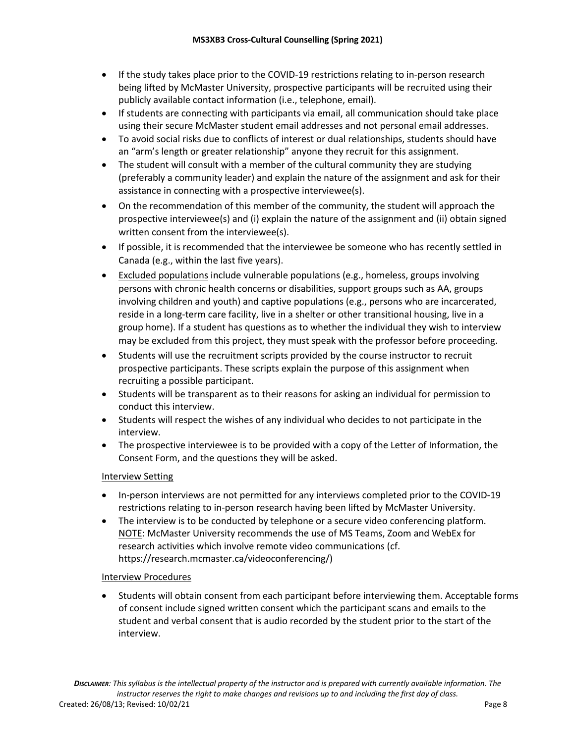- If the study takes place prior to the COVID-19 restrictions relating to in-person research being lifted by McMaster University, prospective participants will be recruited using their publicly available contact information (i.e., telephone, email).
- If students are connecting with participants via email, all communication should take place using their secure McMaster student email addresses and not personal email addresses.
- To avoid social risks due to conflicts of interest or dual relationships, students should have an "arm's length or greater relationship" anyone they recruit for this assignment.
- The student will consult with a member of the cultural community they are studying (preferably a community leader) and explain the nature of the assignment and ask for their assistance in connecting with a prospective interviewee(s).
- On the recommendation of this member of the community, the student will approach the prospective interviewee(s) and (i) explain the nature of the assignment and (ii) obtain signed written consent from the interviewee(s).
- If possible, it is recommended that the interviewee be someone who has recently settled in Canada (e.g., within the last five years).
- Excluded populations include vulnerable populations (e.g., homeless, groups involving persons with chronic health concerns or disabilities, support groups such as AA, groups involving children and youth) and captive populations (e.g., persons who are incarcerated, reside in a long-term care facility, live in a shelter or other transitional housing, live in a group home). If a student has questions as to whether the individual they wish to interview may be excluded from this project, they must speak with the professor before proceeding.
- Students will use the recruitment scripts provided by the course instructor to recruit prospective participants. These scripts explain the purpose of this assignment when recruiting a possible participant.
- Students will be transparent as to their reasons for asking an individual for permission to conduct this interview.
- Students will respect the wishes of any individual who decides to not participate in the interview.
- The prospective interviewee is to be provided with a copy of the Letter of Information, the Consent Form, and the questions they will be asked.

# Interview Setting

- In-person interviews are not permitted for any interviews completed prior to the COVID-19 restrictions relating to in-person research having been lifted by McMaster University.
- The interview is to be conducted by telephone or a secure video conferencing platform. NOTE: McMaster University recommends the use of MS Teams, Zoom and WebEx for research activities which involve remote video communications (cf. https://research.mcmaster.ca/videoconferencing/)

### Interview Procedures

• Students will obtain consent from each participant before interviewing them. Acceptable forms of consent include signed written consent which the participant scans and emails to the student and verbal consent that is audio recorded by the student prior to the start of the interview.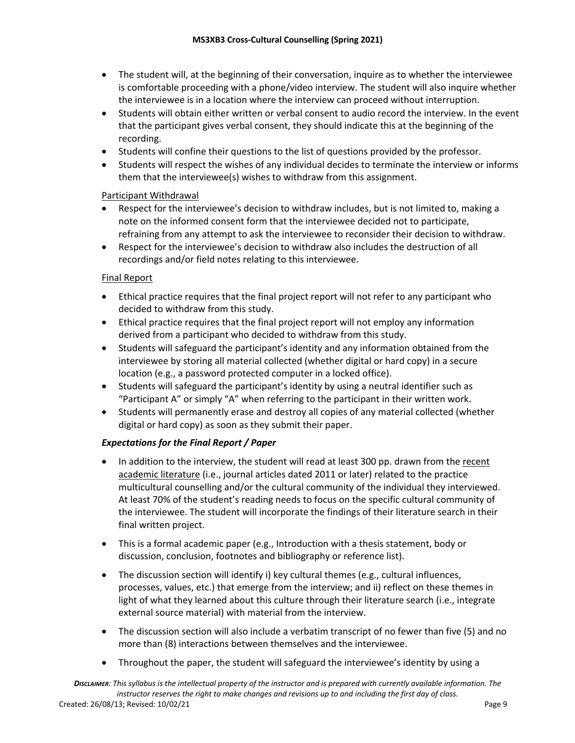- The student will, at the beginning of their conversation, inquire as to whether the interviewee is comfortable proceeding with a phone/video interview. The student will also inquire whether the interviewee is in a location where the interview can proceed without interruption.
- Students will obtain either written or verbal consent to audio record the interview. In the event that the participant gives verbal consent, they should indicate this at the beginning of the recording.
- Students will confine their questions to the list of questions provided by the professor.
- Students will respect the wishes of any individual decides to terminate the interview or informs them that the interviewee(s) wishes to withdraw from this assignment.

# Participant Withdrawal

- Respect for the interviewee's decision to withdraw includes, but is not limited to, making a note on the informed consent form that the interviewee decided not to participate, refraining from any attempt to ask the interviewee to reconsider their decision to withdraw.
- Respect for the interviewee's decision to withdraw also includes the destruction of all recordings and/or field notes relating to this interviewee.

# Final Report

- Ethical practice requires that the final project report will not refer to any participant who decided to withdraw from this study.
- Ethical practice requires that the final project report will not employ any information derived from a participant who decided to withdraw from this study.
- Students will safeguard the participant's identity and any information obtained from the interviewee by storing all material collected (whether digital or hard copy) in a secure location (e.g., a password protected computer in a locked office).
- Students will safeguard the participant's identity by using a neutral identifier such as "Participant A" or simply "A" when referring to the participant in their written work.
- Students will permanently erase and destroy all copies of any material collected (whether digital or hard copy) as soon as they submit their paper.

# *Expectations for the Final Report / Paper*

- In addition to the interview, the student will read at least 300 pp. drawn from the recent academic literature (i.e., journal articles dated 2011 or later) related to the practice multicultural counselling and/or the cultural community of the individual they interviewed. At least 70% of the student's reading needs to focus on the specific cultural community of the interviewee. The student will incorporate the findings of their literature search in their final written project.
- This is a formal academic paper (e.g., Introduction with a thesis statement, body or discussion, conclusion, footnotes and bibliography or reference list).
- The discussion section will identify i) key cultural themes (e.g., cultural influences, processes, values, etc.) that emerge from the interview; and ii) reflect on these themes in light of what they learned about this culture through their literature search (i.e., integrate external source material) with material from the interview.
- The discussion section will also include a verbatim transcript of no fewer than five (5) and no more than (8) interactions between themselves and the interviewee.
- Throughout the paper, the student will safeguard the interviewee's identity by using a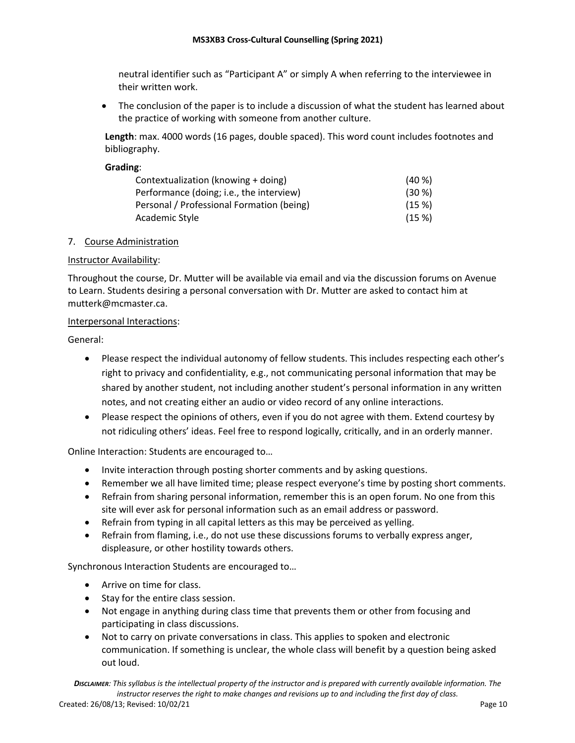neutral identifier such as "Participant A" or simply A when referring to the interviewee in their written work.

• The conclusion of the paper is to include a discussion of what the student has learned about the practice of working with someone from another culture.

**Length**: max. 4000 words (16 pages, double spaced). This word count includes footnotes and bibliography.

**Grading**:

| Contextualization (knowing + doing)       | $(40\%)$ |
|-------------------------------------------|----------|
| Performance (doing; i.e., the interview)  | $(30\%)$ |
| Personal / Professional Formation (being) | (15%)    |
| Academic Style                            | (15%)    |

### 7. Course Administration

### Instructor Availability:

Throughout the course, Dr. Mutter will be available via email and via the discussion forums on Avenue to Learn. Students desiring a personal conversation with Dr. Mutter are asked to contact him at mutterk@mcmaster.ca.

#### Interpersonal Interactions:

General:

- Please respect the individual autonomy of fellow students. This includes respecting each other's right to privacy and confidentiality, e.g., not communicating personal information that may be shared by another student, not including another student's personal information in any written notes, and not creating either an audio or video record of any online interactions.
- Please respect the opinions of others, even if you do not agree with them. Extend courtesy by not ridiculing others' ideas. Feel free to respond logically, critically, and in an orderly manner.

Online Interaction: Students are encouraged to…

- Invite interaction through posting shorter comments and by asking questions.
- Remember we all have limited time; please respect everyone's time by posting short comments.
- Refrain from sharing personal information, remember this is an open forum. No one from this site will ever ask for personal information such as an email address or password.
- Refrain from typing in all capital letters as this may be perceived as yelling.
- Refrain from flaming, i.e., do not use these discussions forums to verbally express anger, displeasure, or other hostility towards others.

Synchronous Interaction Students are encouraged to…

- Arrive on time for class.
- Stay for the entire class session.
- Not engage in anything during class time that prevents them or other from focusing and participating in class discussions.
- Not to carry on private conversations in class. This applies to spoken and electronic communication. If something is unclear, the whole class will benefit by a question being asked out loud.

*DISCLAIMER: This syllabus is the intellectual property of the instructor and is prepared with currently available information. The instructor reserves the right to make changes and revisions up to and including the first day of class.* Created: 26/08/13; Revised: 10/02/21 Page 10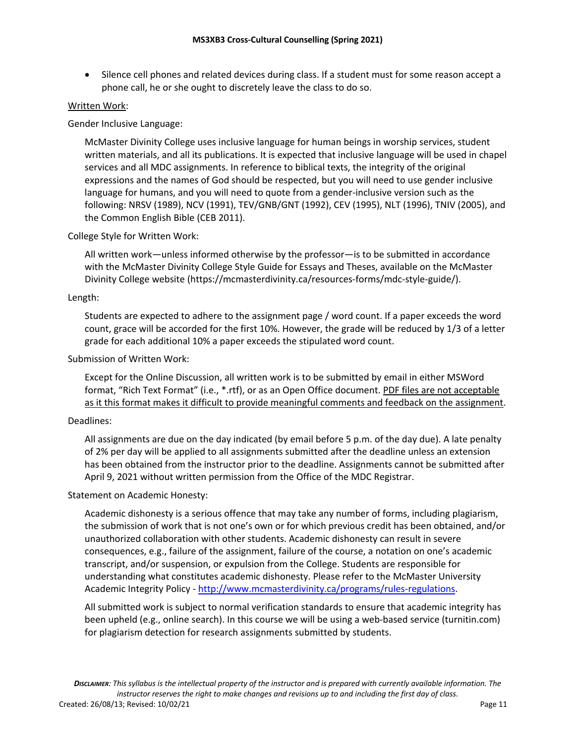• Silence cell phones and related devices during class. If a student must for some reason accept a phone call, he or she ought to discretely leave the class to do so.

#### Written Work:

Gender Inclusive Language:

McMaster Divinity College uses inclusive language for human beings in worship services, student written materials, and all its publications. It is expected that inclusive language will be used in chapel services and all MDC assignments. In reference to biblical texts, the integrity of the original expressions and the names of God should be respected, but you will need to use gender inclusive language for humans, and you will need to quote from a gender-inclusive version such as the following: NRSV (1989), NCV (1991), TEV/GNB/GNT (1992), CEV (1995), NLT (1996), TNIV (2005), and the Common English Bible (CEB 2011).

#### College Style for Written Work:

All written work—unless informed otherwise by the professor—is to be submitted in accordance with the McMaster Divinity College Style Guide for Essays and Theses, available on the McMaster Divinity College website (https://mcmasterdivinity.ca/resources-forms/mdc-style-guide/).

#### Length:

Students are expected to adhere to the assignment page / word count. If a paper exceeds the word count, grace will be accorded for the first 10%. However, the grade will be reduced by 1/3 of a letter grade for each additional 10% a paper exceeds the stipulated word count.

#### Submission of Written Work:

Except for the Online Discussion, all written work is to be submitted by email in either MSWord format, "Rich Text Format" (i.e., \*.rtf), or as an Open Office document. PDF files are not acceptable as it this format makes it difficult to provide meaningful comments and feedback on the assignment.

#### Deadlines:

All assignments are due on the day indicated (by email before 5 p.m. of the day due). A late penalty of 2% per day will be applied to all assignments submitted after the deadline unless an extension has been obtained from the instructor prior to the deadline. Assignments cannot be submitted after April 9, 2021 without written permission from the Office of the MDC Registrar.

#### Statement on Academic Honesty:

Academic dishonesty is a serious offence that may take any number of forms, including plagiarism, the submission of work that is not one's own or for which previous credit has been obtained, and/or unauthorized collaboration with other students. Academic dishonesty can result in severe consequences, e.g., failure of the assignment, failure of the course, a notation on one's academic transcript, and/or suspension, or expulsion from the College. Students are responsible for understanding what constitutes academic dishonesty. Please refer to the McMaster University Academic Integrity Policy - http://www.mcmasterdivinity.ca/programs/rules-regulations.

All submitted work is subject to normal verification standards to ensure that academic integrity has been upheld (e.g., online search). In this course we will be using a web-based service (turnitin.com) for plagiarism detection for research assignments submitted by students.